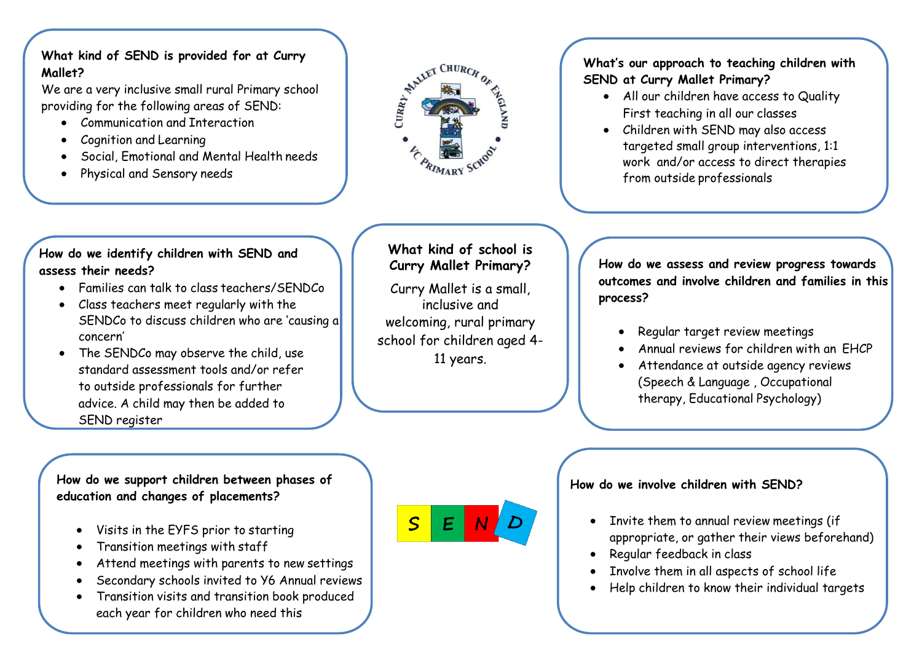# **What kind of SEND is provided for at Curry Mallet?**

We are a very inclusive small rural Primary school providing for the following areas of SEND:

- Communication and Interaction
- Cognition and Learning
- Social, Emotional and Mental Health needs
- Physical and Sensory needs



## **What's our approach to teaching children with SEND at Curry Mallet Primary?**

- All our children have access to Quality First teaching in all our classes
- Children with SEND may also access targeted small group interventions, 1:1 work and/or access to direct therapies from outside professionals

## **How do we identify children with SEND and assess their needs?**

- Families can talk to class teachers/SENDCo
- Class teachers meet regularly with the SENDCo to discuss children who are 'causing a concern'
- The SENDCo may observe the child, use standard assessment tools and/or refer to outside professionals for further advice. A child may then be added to SEND register

**What kind of school is Curry Mallet Primary?**

Curry Mallet is a small, inclusive and welcoming, rural primary school for children aged 4- 11 years.

**How do we assess and review progress towards outcomes and involve children and families in this process?**

- Regular target review meetings
- Annual reviews for children with an EHCP
- Attendance at outside agency reviews (Speech & Language , Occupational therapy, Educational Psychology)

**How do we support children between phases of education and changes of placements?**

- Visits in the EYFS prior to starting
- Transition meetings with staff
- Attend meetings with parents to new settings
- Secondary schools invited to Y6 Annual reviews
- Transition visits and transition book produced each year for children who need this

 $S$  $E$ 

# **How do we involve children with SEND?**

- Invite them to annual review meetings (if appropriate, or gather their views beforehand)
- Regular feedback in class
- Involve them in all aspects of school life
- Help children to know their individual targets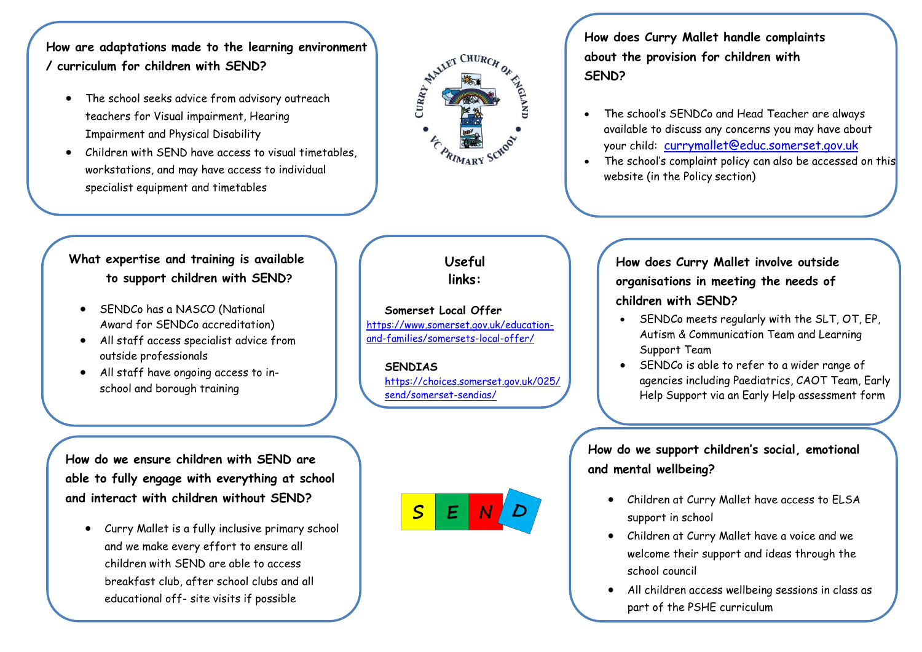**How are adaptations made to the learning environment / curriculum for children with SEND?**

- The school seeks advice from advisory outreach teachers for Visual impairment, Hearing Impairment and Physical Disability
- Children with SEND have access to visual timetables, workstations, and may have access to individual specialist equipment and timetables



**How does Curry Mallet handle complaints about the provision for children with SEND?**

- The school's SENDCo and Head Teacher are always available to discuss any concerns you may have about your child: [currymallet@educ.somerset.gov.uk](mailto:currymallet@educ.somerset.gov.uk)
- The school's complaint policy can also be accessed on this website (in the Policy section)

# **What expertise and training is available to support children with SEND?**

- SENDCo has a NASCO (National Award for SENDCo accreditation)
- All staff access specialist advice from outside professionals
- All staff have ongoing access to inschool and borough training

**Useful links:**

**Somerset Local Offer** [https://www.somerset.gov.uk/education](https://www.somerset.gov.uk/education-and-families/somersets-local-offer/)[and-families/somersets-local-offer/](https://www.somerset.gov.uk/education-and-families/somersets-local-offer/)

**SENDIAS** [https://choices.somerset.gov.uk/025/](https://choices.somerset.gov.uk/025/send/somerset-sendias/) [send/somerset-sendias/](https://choices.somerset.gov.uk/025/send/somerset-sendias/)

**How do we ensure children with SEND are able to fully engage with everything at school and interact with children without SEND?**

 Curry Mallet is a fully inclusive primary school and we make every effort to ensure all children with SEND are able to access breakfast club, after school clubs and all educational off- site visits if possible

 $\overline{\mathsf{S}}$  $E$ 

# **How does Curry Mallet involve outside organisations in meeting the needs of children with SEND?**

- SENDCo meets regularly with the SLT, OT, EP, Autism & Communication Team and Learning Support Team
- SENDCo is able to refer to a wider range of agencies including Paediatrics, CAOT Team, Early Help Support via an Early Help assessment form

**How do we support children's social, emotional and mental wellbeing?**

- Children at Curry Mallet have access to ELSA support in school
- Children at Curry Mallet have a voice and we welcome their support and ideas through the school council
- All children access wellbeing sessions in class as part of the PSHE curriculum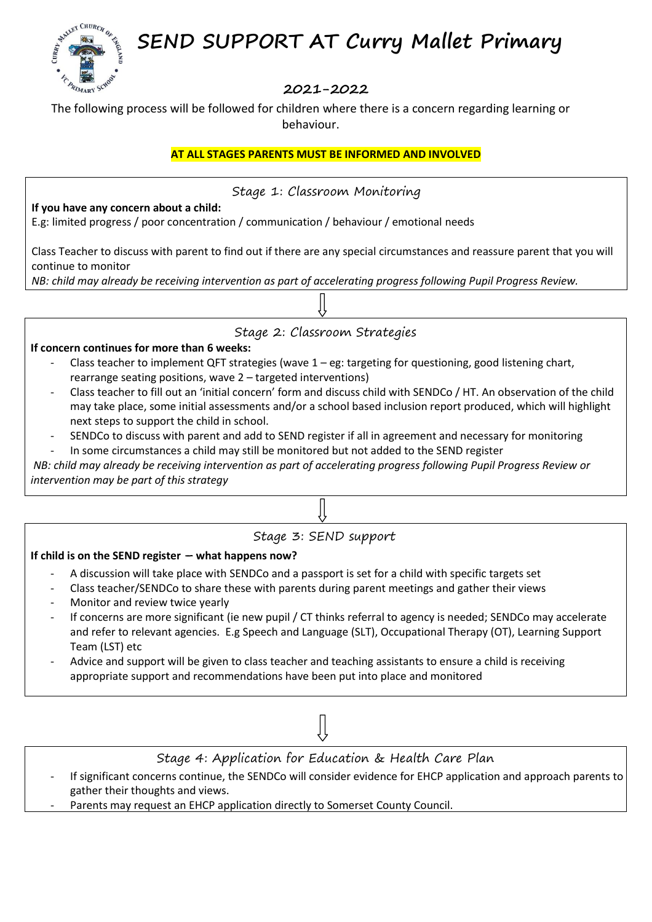**SEND SUPPORT AT Curry Mallet Primary** 



# **2021-2022**

The following process will be followed for children where there is a concern regarding learning or behaviour.

## **AT ALL STAGES PARENTS MUST BE INFORMED AND INVOLVED**

Stage 1: Classroom Monitoring

**If you have any concern about a child:**

E.g: limited progress / poor concentration / communication / behaviour / emotional needs

Class Teacher to discuss with parent to find out if there are any special circumstances and reassure parent that you will continue to monitor

*NB: child may already be receiving intervention as part of accelerating progress following Pupil Progress Review.*



## Stage 2: Classroom Strategies

#### **If concern continues for more than 6 weeks:**

- Class teacher to implement QFT strategies (wave  $1 \text{eg}$ : targeting for questioning, good listening chart, rearrange seating positions, wave 2 – targeted interventions)
- Class teacher to fill out an 'initial concern' form and discuss child with SENDCo / HT. An observation of the child may take place, some initial assessments and/or a school based inclusion report produced, which will highlight next steps to support the child in school.
- SENDCo to discuss with parent and add to SEND register if all in agreement and necessary for monitoring
- In some circumstances a child may still be monitored but not added to the SEND register

*NB: child may already be receiving intervention as part of accelerating progress following Pupil Progress Review or intervention may be part of this strategy*

## Stage 3: SEND support

### **If child is on the SEND register – what happens now?**

- A discussion will take place with SENDCo and a passport is set for a child with specific targets set
- Class teacher/SENDCo to share these with parents during parent meetings and gather their views
- Monitor and review twice yearly
- If concerns are more significant (ie new pupil / CT thinks referral to agency is needed; SENDCo may accelerate and refer to relevant agencies. E.g Speech and Language (SLT), Occupational Therapy (OT), Learning Support Team (LST) etc
- Advice and support will be given to class teacher and teaching assistants to ensure a child is receiving appropriate support and recommendations have been put into place and monitored



Stage 4: Application for Education & Health Care Plan

- If significant concerns continue, the SENDCo will consider evidence for EHCP application and approach parents to gather their thoughts and views.
- Parents may request an EHCP application directly to Somerset County Council.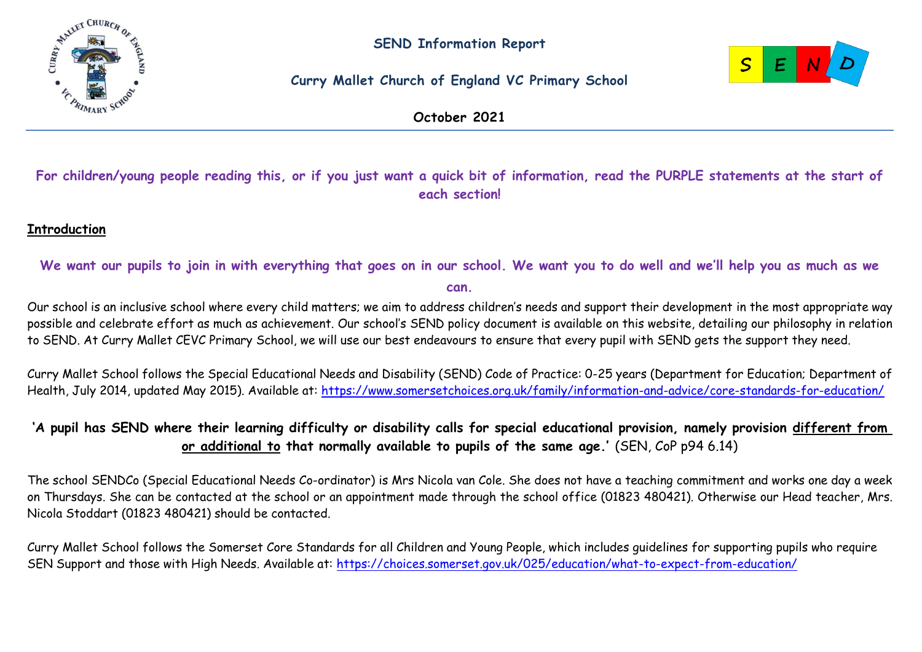

# **Curry Mallet Church of England VC Primary School**



**October 2021**

# **For children/young people reading this, or if you just want a quick bit of information, read the PURPLE statements at the start of each section!**

# **Introduction**

## **We want our pupils to join in with everything that goes on in our school. We want you to do well and we'll help you as much as we can.**

Our school is an inclusive school where every child matters; we aim to address children's needs and support their development in the most appropriate way possible and celebrate effort as much as achievement. Our school's SEND policy document is available on this website, detailing our philosophy in relation to SEND. At Curry Mallet CEVC Primary School, we will use our best endeavours to ensure that every pupil with SEND gets the support they need.

Curry Mallet School follows the Special Educational Needs and Disability (SEND) Code of Practice: 0-25 years (Department for Education; Department of Health, July 2014, updated May 2015). Available at:<https://www.somersetchoices.org.uk/family/information-and-advice/core-standards-for-education/>

# **'A pupil has SEND where their learning difficulty or disability calls for special educational provision, namely provision different from or additional to that normally available to pupils of the same age.'** (SEN, CoP p94 6.14)

The school SENDCo (Special Educational Needs Co-ordinator) is Mrs Nicola van Cole. She does not have a teaching commitment and works one day a week on Thursdays. She can be contacted at the school or an appointment made through the school office (01823 480421). Otherwise our Head teacher, Mrs. Nicola Stoddart (01823 480421) should be contacted.

Curry Mallet School follows the Somerset Core Standards for all Children and Young People, which includes guidelines for supporting pupils who require SEN Support and those with High Needs. Available at:<https://choices.somerset.gov.uk/025/education/what-to-expect-from-education/>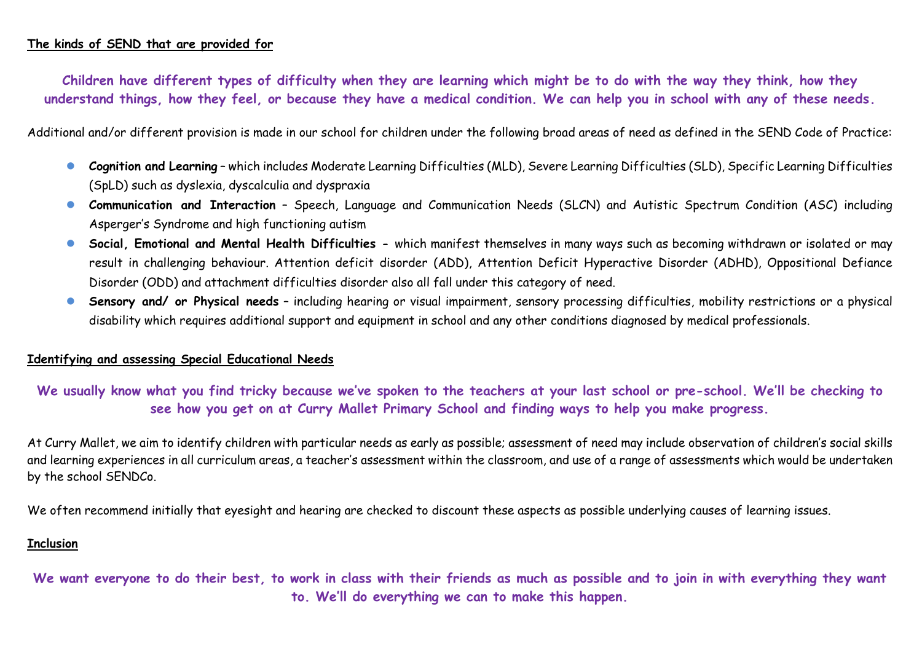### **The kinds of SEND that are provided for**

**Children have different types of difficulty when they are learning which might be to do with the way they think, how they understand things, how they feel, or because they have a medical condition. We can help you in school with any of these needs.**

Additional and/or different provision is made in our school for children under the following broad areas of need as defined in the SEND Code of Practice:

- **Cognition and Learning** which includes Moderate Learning Difficulties (MLD), Severe Learning Difficulties (SLD), Specific Learning Difficulties (SpLD) such as dyslexia, dyscalculia and dyspraxia
- **Communication and Interaction** Speech, Language and Communication Needs (SLCN) and Autistic Spectrum Condition (ASC) including Asperger's Syndrome and high functioning autism
- **Social, Emotional and Mental Health Difficulties -** which manifest themselves in many ways such as becoming withdrawn or isolated or may result in challenging behaviour. Attention deficit disorder (ADD), Attention Deficit Hyperactive Disorder (ADHD), Oppositional Defiance Disorder (ODD) and attachment difficulties disorder also all fall under this category of need.
- **Sensory and/ or Physical needs** including hearing or visual impairment, sensory processing difficulties, mobility restrictions or a physical disability which requires additional support and equipment in school and any other conditions diagnosed by medical professionals.

#### **Identifying and assessing Special Educational Needs**

**We usually know what you find tricky because we've spoken to the teachers at your last school or pre-school. We'll be checking to see how you get on at Curry Mallet Primary School and finding ways to help you make progress.**

At Curry Mallet, we aim to identify children with particular needs as early as possible; assessment of need may include observation of children's social skills and learning experiences in all curriculum areas, a teacher's assessment within the classroom, and use of a range of assessments which would be undertaken by the school SENDCo.

We often recommend initially that eyesight and hearing are checked to discount these aspects as possible underlying causes of learning issues.

#### **Inclusion**

**We want everyone to do their best, to work in class with their friends as much as possible and to join in with everything they want to. We'll do everything we can to make this happen.**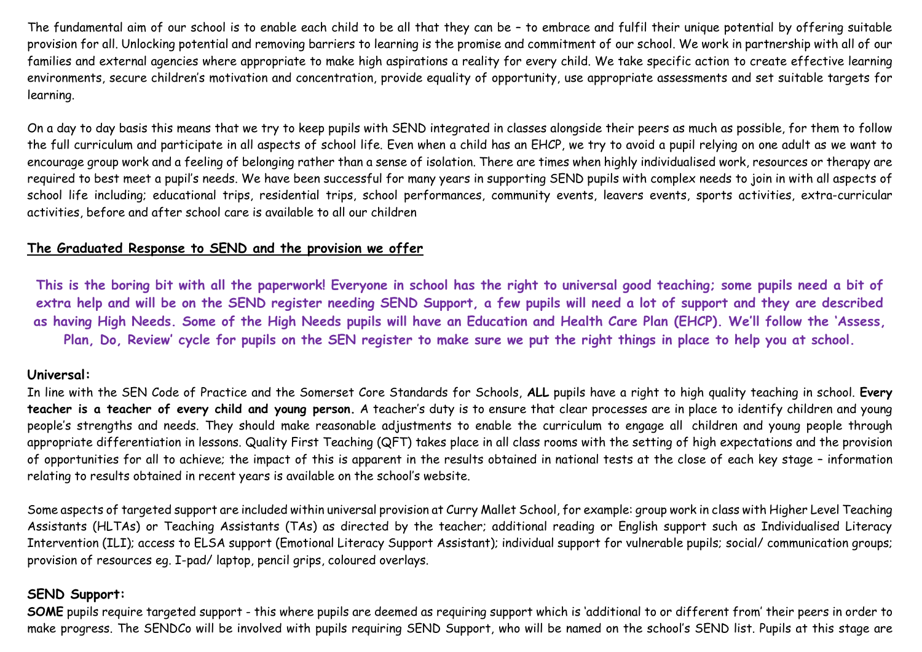The fundamental aim of our school is to enable each child to be all that they can be – to embrace and fulfil their unique potential by offering suitable provision for all. Unlocking potential and removing barriers to learning is the promise and commitment of our school. We work in partnership with all of our families and external agencies where appropriate to make high aspirations a reality for every child. We take specific action to create effective learning environments, secure children's motivation and concentration, provide equality of opportunity, use appropriate assessments and set suitable targets for learning.

On a day to day basis this means that we try to keep pupils with SEND integrated in classes alongside their peers as much as possible, for them to follow the full curriculum and participate in all aspects of school life. Even when a child has an EHCP, we try to avoid a pupil relying on one adult as we want to encourage group work and a feeling of belonging rather than a sense of isolation. There are times when highly individualised work, resources or therapy are required to best meet a pupil's needs. We have been successful for many years in supporting SEND pupils with complex needs to join in with all aspects of school life including; educational trips, residential trips, school performances, community events, leavers events, sports activities, extra-curricular activities, before and after school care is available to all our children

### **The Graduated Response to SEND and the provision we offer**

**This is the boring bit with all the paperwork! Everyone in school has the right to universal good teaching; some pupils need a bit of extra help and will be on the SEND register needing SEND Support, a few pupils will need a lot of support and they are described as having High Needs. Some of the High Needs pupils will have an Education and Health Care Plan (EHCP). We'll follow the 'Assess, Plan, Do, Review' cycle for pupils on the SEN register to make sure we put the right things in place to help you at school.**

#### **Universal:**

In line with the SEN Code of Practice and the Somerset Core Standards for Schools, **ALL** pupils have a right to high quality teaching in school. **Every teacher is a teacher of every child and young person.** A teacher's duty is to ensure that clear processes are in place to identify children and young people's strengths and needs. They should make reasonable adjustments to enable the curriculum to engage all children and young people through appropriate differentiation in lessons. Quality First Teaching (QFT) takes place in all class rooms with the setting of high expectations and the provision of opportunities for all to achieve; the impact of this is apparent in the results obtained in national tests at the close of each key stage – information relating to results obtained in recent years is available on the school's website.

Some aspects of targeted support are included within universal provision at Curry Mallet School, for example: group work in class with Higher Level Teaching Assistants (HLTAs) or Teaching Assistants (TAs) as directed by the teacher; additional reading or English support such as Individualised Literacy Intervention (ILI); access to ELSA support (Emotional Literacy Support Assistant); individual support for vulnerable pupils; social/ communication groups; provision of resources eg. I-pad/ laptop, pencil grips, coloured overlays.

## **SEND Support:**

**SOME** pupils require targeted support - this where pupils are deemed as requiring support which is 'additional to or different from' their peers in order to make progress. The SENDCo will be involved with pupils requiring SEND Support, who will be named on the school's SEND list. Pupils at this stage are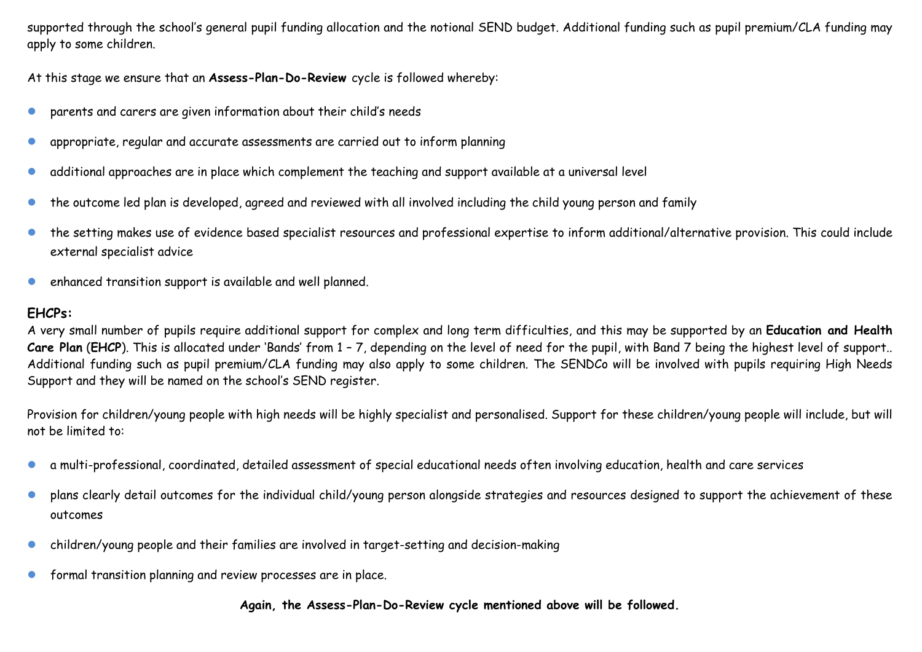supported through the school's general pupil funding allocation and the notional SEND budget. Additional funding such as pupil premium/CLA funding may apply to some children.

At this stage we ensure that an **Assess-Plan-Do-Review** cycle is followed whereby:

- parents and carers are given information about their child's needs
- appropriate, regular and accurate assessments are carried out to inform planning
- additional approaches are in place which complement the teaching and support available at a universal level
- the outcome led plan is developed, agreed and reviewed with all involved including the child young person and family
- the setting makes use of evidence based specialist resources and professional expertise to inform additional/alternative provision. This could include external specialist advice
- enhanced transition support is available and well planned.

## **EHCPs:**

A very small number of pupils require additional support for complex and long term difficulties, and this may be supported by an **Education and Health**  Care Plan (EHCP). This is allocated under 'Bands' from 1 - 7, depending on the level of need for the pupil, with Band 7 being the highest level of support.. Additional funding such as pupil premium/CLA funding may also apply to some children. The SENDCo will be involved with pupils requiring High Needs Support and they will be named on the school's SEND register.

Provision for children/young people with high needs will be highly specialist and personalised. Support for these children/young people will include, but will not be limited to:

- a multi-professional, coordinated, detailed assessment of special educational needs often involving education, health and care services
- plans clearly detail outcomes for the individual child/young person alongside strategies and resources designed to support the achievement of these outcomes
- children/young people and their families are involved in target-setting and decision-making
- **•** formal transition planning and review processes are in place.

### **Again, the Assess-Plan-Do-Review cycle mentioned above will be followed.**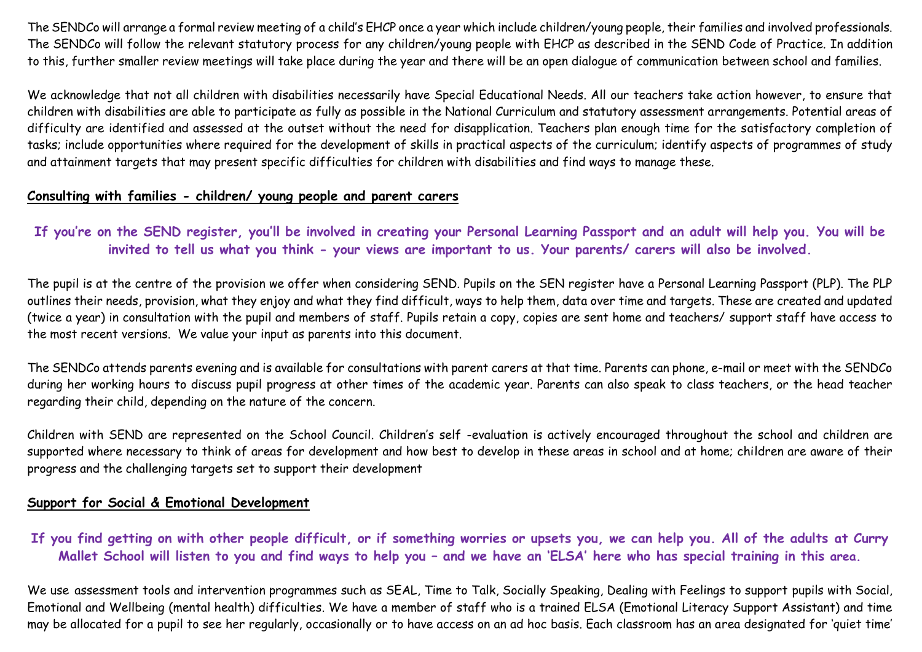The SENDCo will arrange a formal review meeting of a child's EHCP once a year which include children/young people, their families and involved professionals. The SENDCo will follow the relevant statutory process for any children/young people with EHCP as described in the SEND Code of Practice. In addition to this, further smaller review meetings will take place during the year and there will be an open dialogue of communication between school and families.

We acknowledge that not all children with disabilities necessarily have Special Educational Needs. All our teachers take action however, to ensure that children with disabilities are able to participate as fully as possible in the National Curriculum and statutory assessment arrangements. Potential areas of difficulty are identified and assessed at the outset without the need for disapplication. Teachers plan enough time for the satisfactory completion of tasks; include opportunities where required for the development of skills in practical aspects of the curriculum; identify aspects of programmes of study and attainment targets that may present specific difficulties for children with disabilities and find ways to manage these.

### **Consulting with families - children/ young people and parent carers**

**If you're on the SEND register, you'll be involved in creating your Personal Learning Passport and an adult will help you. You will be invited to tell us what you think - your views are important to us. Your parents/ carers will also be involved.**

The pupil is at the centre of the provision we offer when considering SEND. Pupils on the SEN register have a Personal Learning Passport (PLP). The PLP outlines their needs, provision, what they enjoy and what they find difficult, ways to help them, data over time and targets. These are created and updated (twice a year) in consultation with the pupil and members of staff. Pupils retain a copy, copies are sent home and teachers/ support staff have access to the most recent versions. We value your input as parents into this document.

The SENDCo attends parents evening and is available for consultations with parent carers at that time. Parents can phone, e-mail or meet with the SENDCo during her working hours to discuss pupil progress at other times of the academic year. Parents can also speak to class teachers, or the head teacher regarding their child, depending on the nature of the concern.

Children with SEND are represented on the School Council. Children's self -evaluation is actively encouraged throughout the school and children are supported where necessary to think of areas for development and how best to develop in these areas in school and at home; children are aware of their progress and the challenging targets set to support their development

## **Support for Social & Emotional Development**

**If you find getting on with other people difficult, or if something worries or upsets you, we can help you. All of the adults at Curry Mallet School will listen to you and find ways to help you – and we have an 'ELSA' here who has special training in this area.**

We use assessment tools and intervention programmes such as SEAL, Time to Talk, Socially Speaking, Dealing with Feelings to support pupils with Social, Emotional and Wellbeing (mental health) difficulties. We have a member of staff who is a trained ELSA (Emotional Literacy Support Assistant) and time may be allocated for a pupil to see her regularly, occasionally or to have access on an ad hoc basis. Each classroom has an area designated for 'quiet time'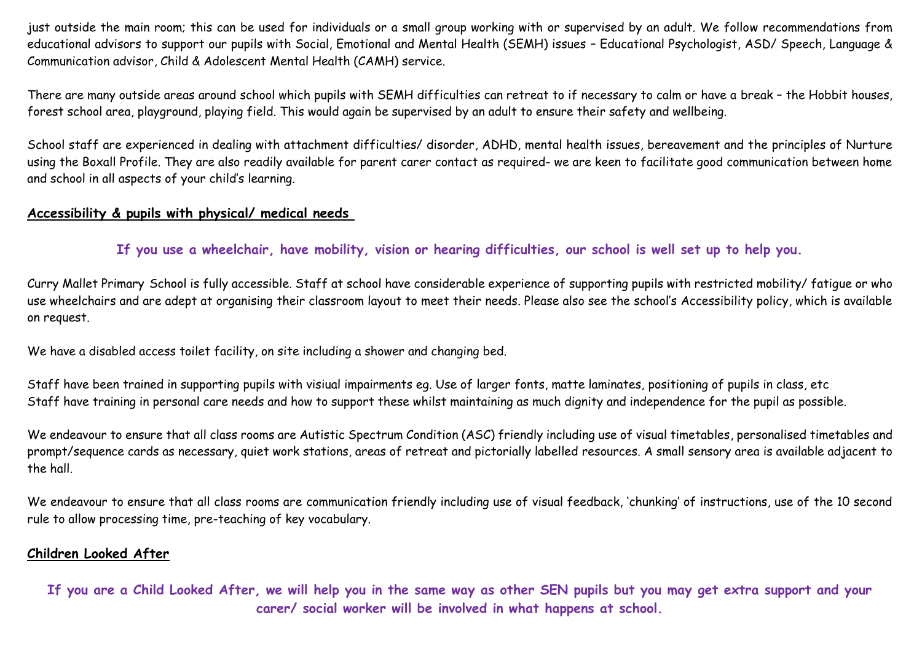just outside the main room; this can be used for individuals or a small group working with or supervised by an adult. We follow recommendations from educational advisors to support our pupils with Social, Emotional and Mental Health (SEMH) issues – Educational Psychologist, ASD/ Speech, Language & Communication advisor, Child & Adolescent Mental Health (CAMH) service.

There are many outside areas around school which pupils with SEMH difficulties can retreat to if necessary to calm or have a break – the Hobbit houses, forest school area, playground, playing field. This would again be supervised by an adult to ensure their safety and wellbeing.

School staff are experienced in dealing with attachment difficulties/ disorder, ADHD, mental health issues, bereavement and the principles of Nurture using the Boxall Profile. They are also readily available for parent carer contact as required- we are keen to facilitate good communication between home and school in all aspects of your child's learning.

## **Accessibility & pupils with physical/ medical needs**

**If you use a wheelchair, have mobility, vision or hearing difficulties, our school is well set up to help you.**

Curry Mallet Primary School is fully accessible. Staff at school have considerable experience of supporting pupils with restricted mobility/ fatigue or who use wheelchairs and are adept at organising their classroom layout to meet their needs. Please also see the school's Accessibility policy, which is available on request.

We have a disabled access toilet facility, on site including a shower and changing bed.

Staff have been trained in supporting pupils with visiual impairments eg. Use of larger fonts, matte laminates, positioning of pupils in class, etc Staff have training in personal care needs and how to support these whilst maintaining as much dignity and independence for the pupil as possible.

We endeavour to ensure that all class rooms are Autistic Spectrum Condition (ASC) friendly including use of visual timetables, personalised timetables and prompt/sequence cards as necessary, quiet work stations, areas of retreat and pictorially labelled resources. A small sensory area is available adjacent to the hall.

We endeavour to ensure that all class rooms are communication friendly including use of visual feedback, 'chunking' of instructions, use of the 10 second rule to allow processing time, pre-teaching of key vocabulary.

## **Children Looked After**

**If you are a Child Looked After, we will help you in the same way as other SEN pupils but you may get extra support and your carer/ social worker will be involved in what happens at school.**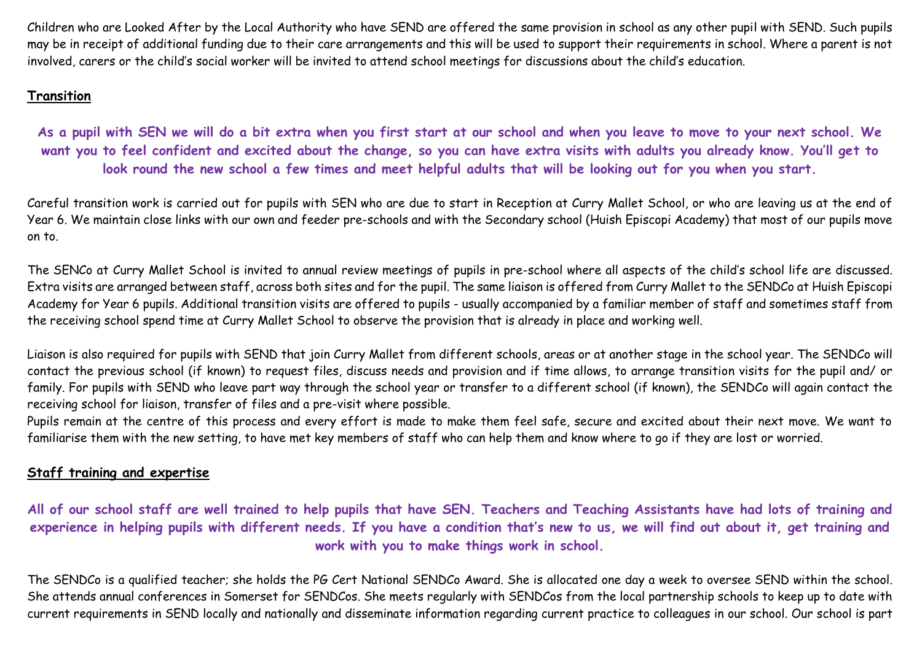Children who are Looked After by the Local Authority who have SEND are offered the same provision in school as any other pupil with SEND. Such pupils may be in receipt of additional funding due to their care arrangements and this will be used to support their requirements in school. Where a parent is not involved, carers or the child's social worker will be invited to attend school meetings for discussions about the child's education.

# **Transition**

**As a pupil with SEN we will do a bit extra when you first start at our school and when you leave to move to your next school. We want you to feel confident and excited about the change, so you can have extra visits with adults you already know. You'll get to look round the new school a few times and meet helpful adults that will be looking out for you when you start.**

Careful transition work is carried out for pupils with SEN who are due to start in Reception at Curry Mallet School, or who are leaving us at the end of Year 6. We maintain close links with our own and feeder pre-schools and with the Secondary school (Huish Episcopi Academy) that most of our pupils move on to.

The SENCo at Curry Mallet School is invited to annual review meetings of pupils in pre-school where all aspects of the child's school life are discussed. Extra visits are arranged between staff, across both sites and for the pupil. The same liaison is offered from Curry Mallet to the SENDCo at Huish Episcopi Academy for Year 6 pupils. Additional transition visits are offered to pupils - usually accompanied by a familiar member of staff and sometimes staff from the receiving school spend time at Curry Mallet School to observe the provision that is already in place and working well.

Liaison is also required for pupils with SEND that join Curry Mallet from different schools, areas or at another stage in the school year. The SENDCo will contact the previous school (if known) to request files, discuss needs and provision and if time allows, to arrange transition visits for the pupil and/ or family. For pupils with SEND who leave part way through the school year or transfer to a different school (if known), the SENDCo will again contact the receiving school for liaison, transfer of files and a pre-visit where possible.

Pupils remain at the centre of this process and every effort is made to make them feel safe, secure and excited about their next move. We want to familiarise them with the new setting, to have met key members of staff who can help them and know where to go if they are lost or worried.

# **Staff training and expertise**

**All of our school staff are well trained to help pupils that have SEN. Teachers and Teaching Assistants have had lots of training and experience in helping pupils with different needs. If you have a condition that's new to us, we will find out about it, get training and work with you to make things work in school.**

The SENDCo is a qualified teacher; she holds the PG Cert National SENDCo Award. She is allocated one day a week to oversee SEND within the school. She attends annual conferences in Somerset for SENDCos. She meets regularly with SENDCos from the local partnership schools to keep up to date with current requirements in SEND locally and nationally and disseminate information regarding current practice to colleagues in our school. Our school is part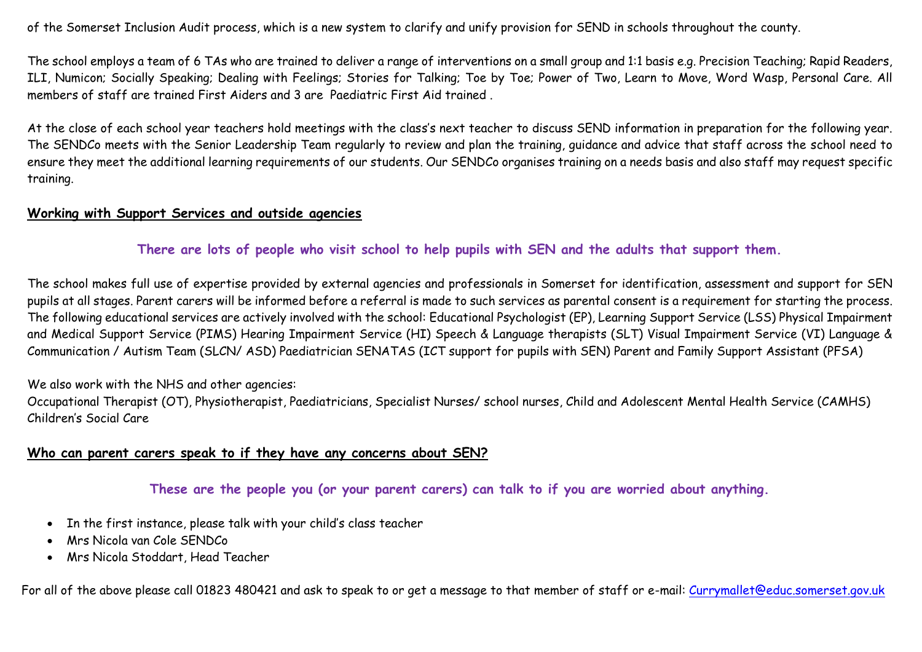of the Somerset Inclusion Audit process, which is a new system to clarify and unify provision for SEND in schools throughout the county.

The school employs a team of 6 TAs who are trained to deliver a range of interventions on a small group and 1:1 basis e.g. Precision Teaching; Rapid Readers, ILI, Numicon; Socially Speaking; Dealing with Feelings; Stories for Talking; Toe by Toe; Power of Two, Learn to Move, Word Wasp, Personal Care. All members of staff are trained First Aiders and 3 are Paediatric First Aid trained .

At the close of each school year teachers hold meetings with the class's next teacher to discuss SEND information in preparation for the following year. The SENDCo meets with the Senior Leadership Team regularly to review and plan the training, guidance and advice that staff across the school need to ensure they meet the additional learning requirements of our students. Our SENDCo organises training on a needs basis and also staff may request specific training.

#### **Working with Support Services and outside agencies**

### **There are lots of people who visit school to help pupils with SEN and the adults that support them.**

The school makes full use of expertise provided by external agencies and professionals in Somerset for identification, assessment and support for SEN pupils at all stages. Parent carers will be informed before a referral is made to such services as parental consent is a requirement for starting the process. The following educational services are actively involved with the school: Educational Psychologist (EP), Learning Support Service (LSS) Physical Impairment and Medical Support Service (PIMS) Hearing Impairment Service (HI) Speech & Language therapists (SLT) Visual Impairment Service (VI) Language & Communication / Autism Team (SLCN/ ASD) Paediatrician SENATAS (ICT support for pupils with SEN) Parent and Family Support Assistant (PFSA)

#### We also work with the NHS and other agencies:

Occupational Therapist (OT), Physiotherapist, Paediatricians, Specialist Nurses/ school nurses, Child and Adolescent Mental Health Service (CAMHS) Children's Social Care

#### **Who can parent carers speak to if they have any concerns about SEN?**

## **These are the people you (or your parent carers) can talk to if you are worried about anything.**

- In the first instance, please talk with your child's class teacher
- Mrs Nicola van Cole SENDCo
- Mrs Nicola Stoddart, Head Teacher

For all of the above please call 01823 480421 and ask to speak to or get a message to that member of staff or e-mail: [Currymallet@educ.somerset.gov.uk](mailto:Currymallet@educ.somerset.gov.uk)